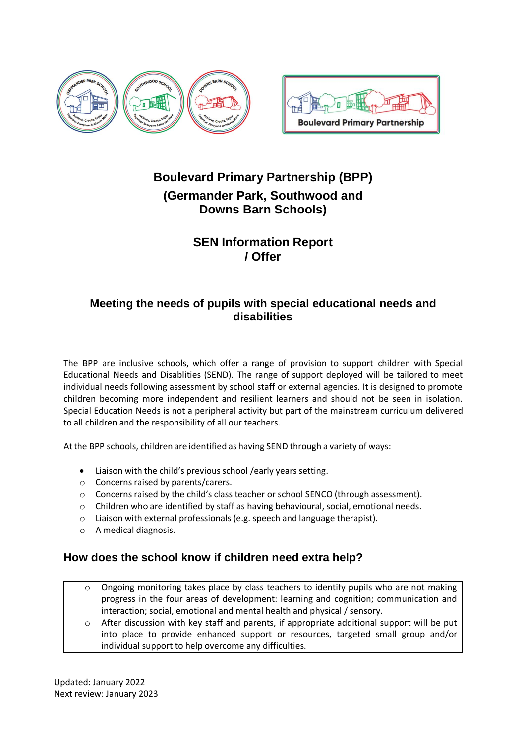



# **Boulevard Primary Partnership (BPP) (Germander Park, Southwood and Downs Barn Schools)**

# **SEN Information Report / Offer**

# **Meeting the needs of pupils with special educational needs and disabilities**

The BPP are inclusive schools, which offer a range of provision to support children with Special Educational Needs and Disablities (SEND). The range of support deployed will be tailored to meet individual needs following assessment by school staff or external agencies. It is designed to promote children becoming more independent and resilient learners and should not be seen in isolation. Special Education Needs is not a peripheral activity but part of the mainstream curriculum delivered to all children and the responsibility of all our teachers.

Atthe BPP schools, children are identified as having SEND through a variety of ways:

- Liaison with the child's previous school /early years setting.
- $\circ$  Concerns raised by parents/carers.
- $\circ$  Concerns raised by the child's class teacher or school SENCO (through assessment).
- o Children who are identified by staff as having behavioural, social, emotional needs.
- o Liaison with external professionals (e.g. speech and language therapist).
- o A medical diagnosis.

# **How does the school know if children need extra help?**

- Ongoing monitoring takes place by class teachers to identify pupils who are not making progress in the four areas of development: learning and cognition; communication and interaction; social, emotional and mental health and physical / sensory.
- $\circ$  After discussion with key staff and parents, if appropriate additional support will be put into place to provide enhanced support or resources, targeted small group and/or individual support to help overcome any difficulties.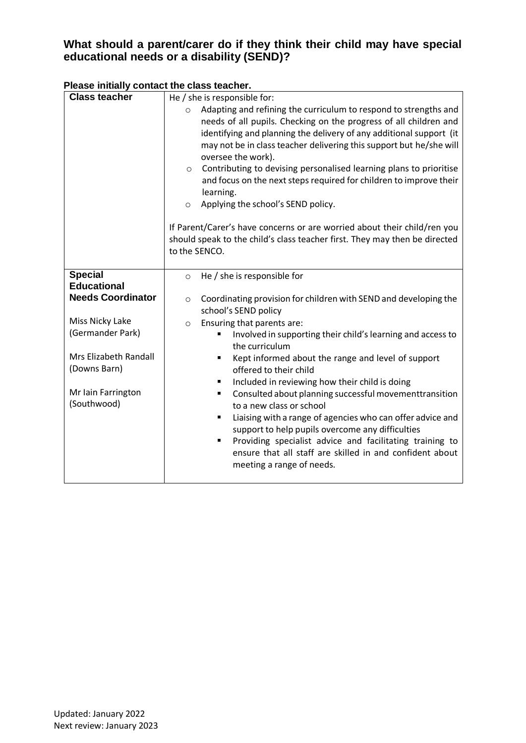# **What should a parent/carer do if they think their child may have special educational needs or a disability (SEND)?**

# **Please initially contact the class teacher.**

| <b>Class teacher</b>              | He / she is responsible for:                                                                                                             |
|-----------------------------------|------------------------------------------------------------------------------------------------------------------------------------------|
|                                   | Adapting and refining the curriculum to respond to strengths and<br>$\circ$                                                              |
|                                   | needs of all pupils. Checking on the progress of all children and<br>identifying and planning the delivery of any additional support (it |
|                                   | may not be in class teacher delivering this support but he/she will                                                                      |
|                                   | oversee the work).                                                                                                                       |
|                                   | Contributing to devising personalised learning plans to prioritise<br>$\circ$                                                            |
|                                   | and focus on the next steps required for children to improve their<br>learning.                                                          |
|                                   | Applying the school's SEND policy.<br>$\circ$                                                                                            |
|                                   | If Parent/Carer's have concerns or are worried about their child/ren you                                                                 |
|                                   | should speak to the child's class teacher first. They may then be directed                                                               |
|                                   | to the SENCO.                                                                                                                            |
| <b>Special</b>                    | He / she is responsible for<br>$\circ$                                                                                                   |
| <b>Educational</b>                |                                                                                                                                          |
| <b>Needs Coordinator</b>          | Coordinating provision for children with SEND and developing the<br>$\circ$<br>school's SEND policy                                      |
| Miss Nicky Lake                   | Ensuring that parents are:<br>$\circ$                                                                                                    |
| (Germander Park)                  | Involved in supporting their child's learning and access to<br>the curriculum                                                            |
| Mrs Elizabeth Randall             | Kept informed about the range and level of support<br>٠                                                                                  |
| (Downs Barn)                      | offered to their child                                                                                                                   |
|                                   | Included in reviewing how their child is doing<br>٠                                                                                      |
| Mr Iain Farrington<br>(Southwood) | Consulted about planning successful movementtransition<br>٠<br>to a new class or school                                                  |
|                                   | Liaising with a range of agencies who can offer advice and<br>٠                                                                          |
|                                   | support to help pupils overcome any difficulties                                                                                         |
|                                   | Providing specialist advice and facilitating training to<br>٠                                                                            |
|                                   | ensure that all staff are skilled in and confident about                                                                                 |
|                                   | meeting a range of needs.                                                                                                                |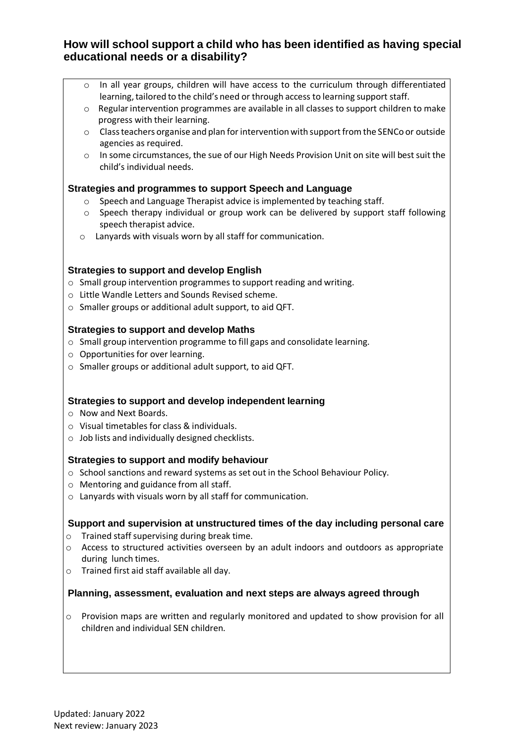# **How will school support a child who has been identified as having special educational needs or a disability?**

- o In all year groups, children will have access to the curriculum through differentiated learning, tailored to the child's need or through access to learning support staff.
- $\circ$  Regular intervention programmes are available in all classes to support children to make progress with their learning.
- $\circ$  Class teachers organise and plan for intervention with support from the SENCo or outside agencies as required.
- o In some circumstances, the sue of our High Needs Provision Unit on site will best suit the child's individual needs.

## **Strategies and programmes to support Speech and Language**

- o Speech and Language Therapist advice is implemented by teaching staff.
- o Speech therapy individual or group work can be delivered by support staff following speech therapist advice.
- o Lanyards with visuals worn by all staff for communication.

### **Strategies to support and develop English**

- o Small group intervention programmes to support reading and writing.
- o Little Wandle Letters and Sounds Revised scheme.
- o Smaller groups or additional adult support, to aid QFT.

### **Strategies to support and develop Maths**

- o Small group intervention programme to fill gaps and consolidate learning.
- o Opportunities for over learning.
- o Smaller groups or additional adult support, to aid QFT.

## **Strategies to support and develop independent learning**

- o Now and Next Boards.
- o Visual timetables for class & individuals.
- o Job lists and individually designed checklists.

## **Strategies to support and modify behaviour**

- o School sanctions and reward systems as set out in the School Behaviour Policy.
- o Mentoring and guidance from all staff.
- o Lanyards with visuals worn by all staff for communication.

### **Support and supervision at unstructured times of the day including personal care**

- $\circ$  Trained staff supervising during break time.
- o Access to structured activities overseen by an adult indoors and outdoors as appropriate during lunch times.
- o Trained first aid staff available all day.

### **Planning, assessment, evaluation and next steps are always agreed through**

 $\circ$  Provision maps are written and regularly monitored and updated to show provision for all children and individual SEN children.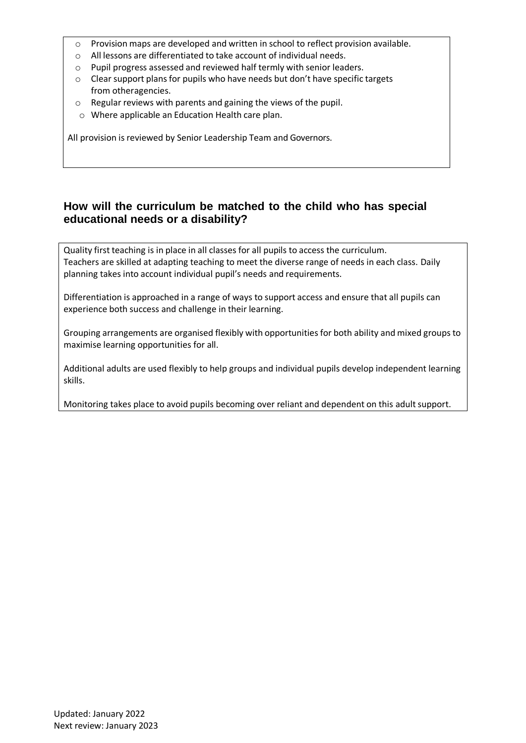- $\circ$  Provision maps are developed and written in school to reflect provision available.
- o All lessons are differentiated to take account of individual needs.
- o Pupil progress assessed and reviewed half termly with senior leaders.
- $\circ$  Clear support plans for pupils who have needs but don't have specific targets from otheragencies.
- o Regular reviews with parents and gaining the views of the pupil.
- o Where applicable an Education Health care plan.

All provision is reviewed by Senior Leadership Team and Governors.

# **How will the curriculum be matched to the child who has special educational needs or a disability?**

Quality first teaching is in place in all classes for all pupils to access the curriculum. Teachers are skilled at adapting teaching to meet the diverse range of needs in each class. Daily planning takes into account individual pupil's needs and requirements.

Differentiation is approached in a range of ways to support access and ensure that all pupils can experience both success and challenge in their learning.

Grouping arrangements are organised flexibly with opportunities for both ability and mixed groups to maximise learning opportunities for all.

Additional adults are used flexibly to help groups and individual pupils develop independent learning skills.

Monitoring takes place to avoid pupils becoming over reliant and dependent on this adult support.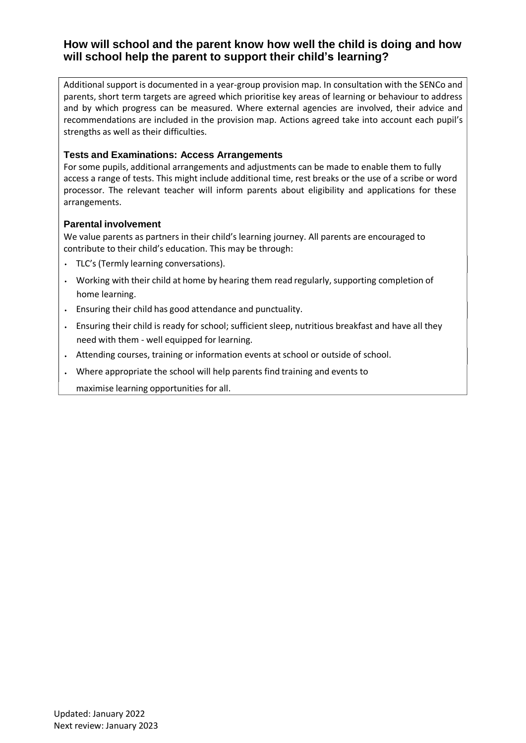# **How will school and the parent know how well the child is doing and how will school help the parent to support their child's learning?**

Additional support is documented in a year-group provision map. In consultation with the SENCo and parents, short term targets are agreed which prioritise key areas of learning or behaviour to address and by which progress can be measured. Where external agencies are involved, their advice and recommendations are included in the provision map. Actions agreed take into account each pupil's strengths as well as their difficulties.

### **Tests and Examinations: Access Arrangements**

For some pupils, additional arrangements and adjustments can be made to enable them to fully access a range of tests. This might include additional time, rest breaks or the use of a scribe or word processor. The relevant teacher will inform parents about eligibility and applications for these arrangements.

### **Parental involvement**

We value parents as partners in their child's learning journey. All parents are encouraged to contribute to their child's education. This may be through:

- TLC's (Termly learning conversations).
- $\cdot$  Working with their child at home by hearing them read regularly, supporting completion of home learning.
- Ensuring their child has good attendance and punctuality.
- Ensuring their child is ready for school; sufficient sleep, nutritious breakfast and have all they need with them ‐ well equipped for learning.
- Attending courses, training or information events at school or outside of school.
- Where appropriate the school will help parents find training and events to

maximise learning opportunities for all.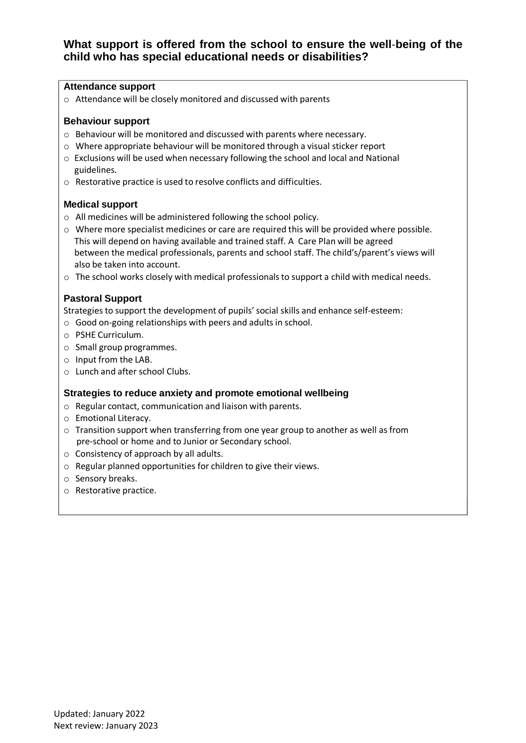# **What support is offered from the school to ensure the well**‐**being of the child who has special educational needs or disabilities?**

#### **Attendance support**

o Attendance will be closely monitored and discussed with parents

#### **Behaviour support**

- o Behaviour will be monitored and discussed with parents where necessary.
- o Where appropriate behaviour will be monitored through a visual sticker report
- o Exclusions will be used when necessary following the school and local and National guidelines.
- o Restorative practice is used to resolve conflicts and difficulties.

#### **Medical support**

- o All medicines will be administered following the school policy.
- $\circ$  Where more specialist medicines or care are required this will be provided where possible. This will depend on having available and trained staff. A Care Plan will be agreed between the medical professionals, parents and school staff. The child's/parent's views will also be taken into account.
- $\circ$  The school works closely with medical professionals to support a child with medical needs.

### **Pastoral Support**

Strategies to support the development of pupils'social skills and enhance self‐esteem:

- o Good on‐going relationships with peers and adults in school.
- o PSHE Curriculum.
- o Small group programmes.
- o Input from the LAB.
- o Lunch and after school Clubs.

### **Strategies to reduce anxiety and promote emotional wellbeing**

- o Regular contact, communication and liaison with parents.
- o Emotional Literacy.
- $\circ$  Transition support when transferring from one year group to another as well as from pre-school or home and to Junior or Secondary school.
- o Consistency of approach by all adults.
- o Regular planned opportunities for children to give their views.
- o Sensory breaks.
- o Restorative practice.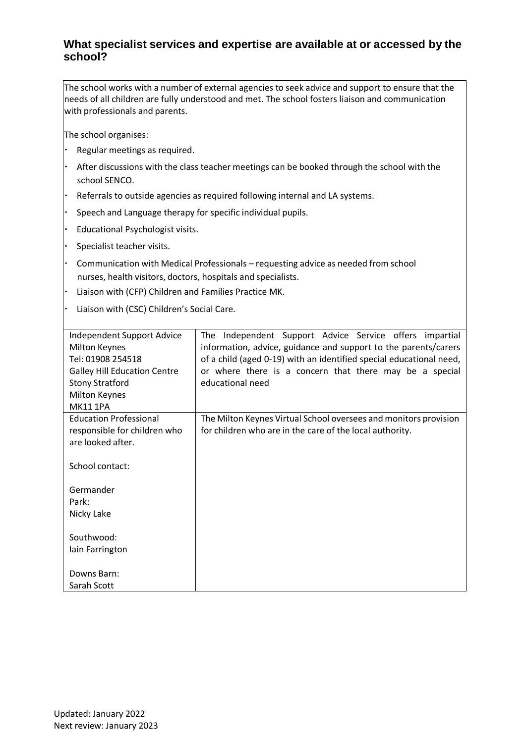# **What specialist services and expertise are available at or accessed by the school?**

The school works with a number of external agencies to seek advice and support to ensure that the needs of all children are fully understood and met. The school fosters liaison and communication with professionals and parents.

The school organises:

- Regular meetings as required.
- After discussions with the class teacher meetings can be booked through the school with the school SENCO.
- Referrals to outside agencies as required following internal and LA systems.
- Speech and Language therapy for specific individual pupils.
- Educational Psychologist visits.
- Specialist teacher visits.
- Communication with Medical Professionals requesting advice as needed from school nurses, health visitors, doctors, hospitals and specialists.
- Liaison with (CFP) Children and Families Practice MK.
- Liaison with (CSC) Children's Social Care.

| Independent Support Advice<br><b>Milton Keynes</b><br>Tel: 01908 254518<br><b>Galley Hill Education Centre</b><br><b>Stony Stratford</b><br><b>Milton Keynes</b><br><b>MK111PA</b> | Independent Support Advice Service offers impartial<br>The<br>information, advice, guidance and support to the parents/carers<br>of a child (aged 0-19) with an identified special educational need,<br>or where there is a concern that there may be a special<br>educational need |
|------------------------------------------------------------------------------------------------------------------------------------------------------------------------------------|-------------------------------------------------------------------------------------------------------------------------------------------------------------------------------------------------------------------------------------------------------------------------------------|
| <b>Education Professional</b><br>responsible for children who<br>are looked after.                                                                                                 | The Milton Keynes Virtual School oversees and monitors provision<br>for children who are in the care of the local authority.                                                                                                                                                        |
| School contact:                                                                                                                                                                    |                                                                                                                                                                                                                                                                                     |
| Germander<br>Park:<br>Nicky Lake                                                                                                                                                   |                                                                                                                                                                                                                                                                                     |
| Southwood:                                                                                                                                                                         |                                                                                                                                                                                                                                                                                     |
| lain Farrington                                                                                                                                                                    |                                                                                                                                                                                                                                                                                     |
| Downs Barn:                                                                                                                                                                        |                                                                                                                                                                                                                                                                                     |
| Sarah Scott                                                                                                                                                                        |                                                                                                                                                                                                                                                                                     |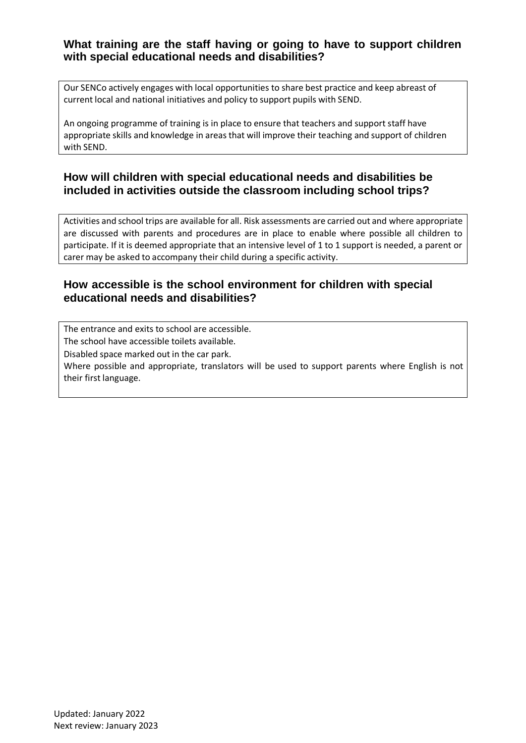# **What training are the staff having or going to have to support children with special educational needs and disabilities?**

Our SENCo actively engages with local opportunities to share best practice and keep abreast of current local and national initiatives and policy to support pupils with SEND.

An ongoing programme of training is in place to ensure that teachers and support staff have appropriate skills and knowledge in areas that will improve their teaching and support of children with SEND.

# **How will children with special educational needs and disabilities be included in activities outside the classroom including school trips?**

Activities and school trips are available for all. Risk assessments are carried out and where appropriate are discussed with parents and procedures are in place to enable where possible all children to participate. If it is deemed appropriate that an intensive level of 1 to 1 support is needed, a parent or carer may be asked to accompany their child during a specific activity.

# **How accessible is the school environment for children with special educational needs and disabilities?**

The entrance and exits to school are accessible. The school have accessible toilets available.

Disabled space marked out in the car park.

Where possible and appropriate, translators will be used to support parents where English is not their first language.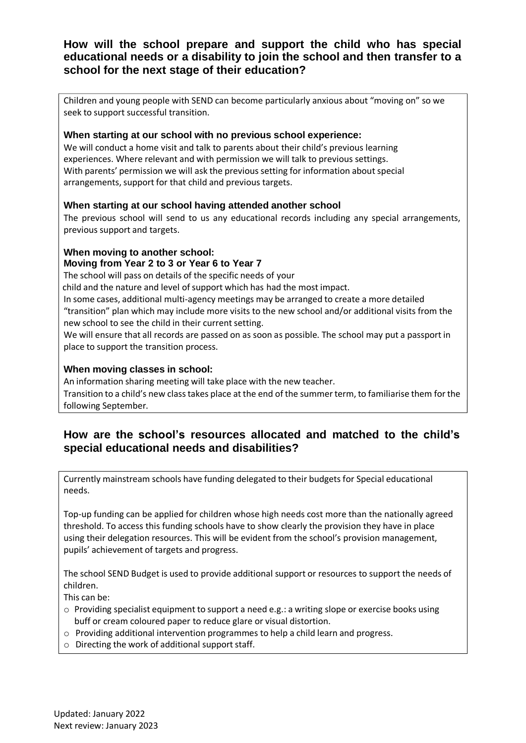# **How will the school prepare and support the child who has special educational needs or a disability to join the school and then transfer to a school for the next stage of their education?**

Children and young people with SEND can become particularly anxious about "moving on" so we seek to support successful transition.

## **When starting at our school with no previous school experience:**

We will conduct a home visit and talk to parents about their child's previous learning experiences. Where relevant and with permission we will talk to previous settings. With parents' permission we will ask the previous setting for information about special arrangements, support for that child and previous targets.

### **When starting at our school having attended another school**

The previous school will send to us any educational records including any special arrangements, previous support and targets.

### **When moving to another school:**

### **Moving from Year 2 to 3 or Year 6 to Year 7**

The school will pass on details of the specific needs of your

child and the nature and level of support which has had the most impact.

In some cases, additional multi‐agency meetings may be arranged to create a more detailed "transition" plan which may include more visits to the new school and/or additional visits from the new school to see the child in their current setting.

We will ensure that all records are passed on as soon as possible. The school may put a passport in place to support the transition process.

### **When moving classes in school:**

An information sharing meeting will take place with the new teacher. Transition to a child's new class takes place at the end of the summer term, to familiarise them for the following September.

# **How are the school's resources allocated and matched to the child's special educational needs and disabilities?**

Currently mainstream schools have funding delegated to their budgets for Special educational needs.

Top‐up funding can be applied for children whose high needs cost more than the nationally agreed threshold. To access this funding schools have to show clearly the provision they have in place using their delegation resources. This will be evident from the school's provision management, pupils' achievement of targets and progress.

The school SEND Budget is used to provide additional support or resources to support the needs of children.

This can be:

- o Providing specialist equipment to support a need e.g.: a writing slope or exercise books using buff or cream coloured paper to reduce glare or visual distortion.
- $\circ$  Providing additional intervention programmes to help a child learn and progress.
- $\circ$  Directing the work of additional support staff.